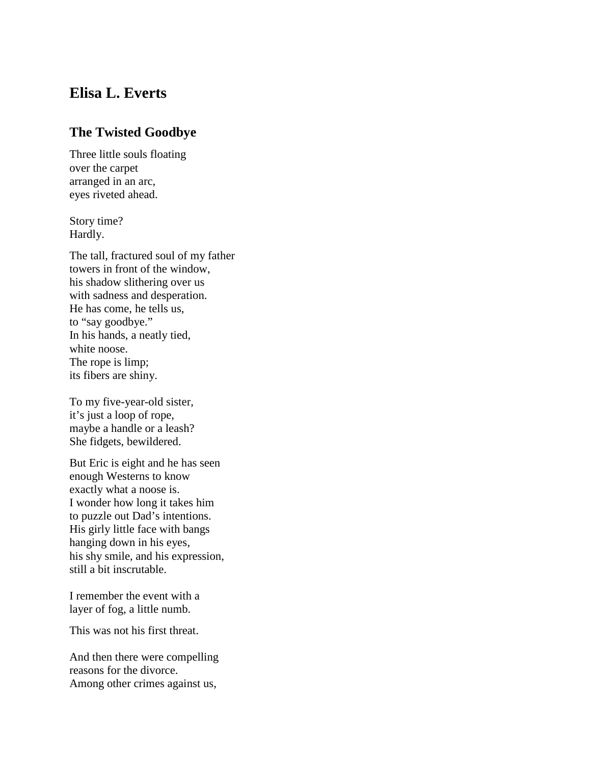## **Elisa L. Everts**

## **The Twisted Goodbye**

Three little souls floating over the carpet arranged in an arc, eyes riveted ahead.

Story time? Hardly.

The tall, fractured soul of my father towers in front of the window, his shadow slithering over us with sadness and desperation. He has come, he tells us, to "say goodbye." In his hands, a neatly tied, white noose. The rope is limp; its fibers are shiny.

To my five-year-old sister, it's just a loop of rope, maybe a handle or a leash? She fidgets, bewildered.

But Eric is eight and he has seen enough Westerns to know exactly what a noose is. I wonder how long it takes him to puzzle out Dad's intentions. His girly little face with bangs hanging down in his eyes, his shy smile, and his expression, still a bit inscrutable.

I remember the event with a layer of fog, a little numb.

This was not his first threat.

And then there were compelling reasons for the divorce. Among other crimes against us,